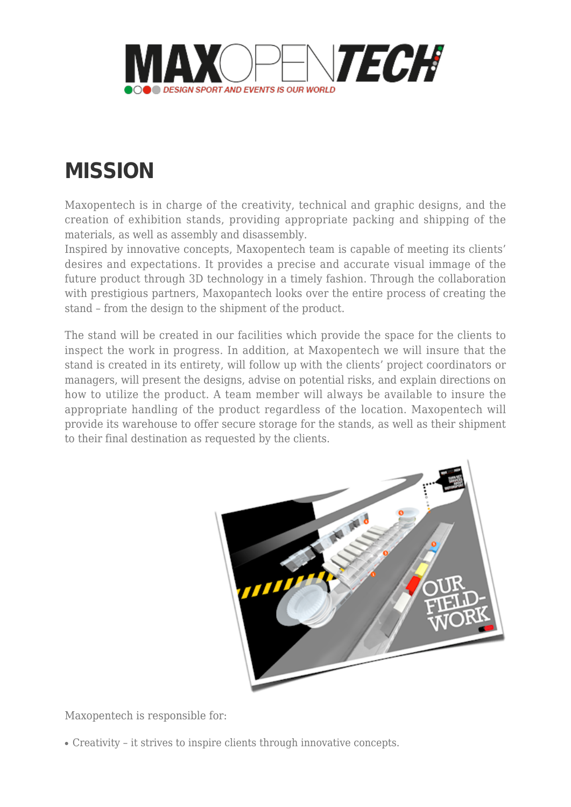

## **[MISSION](http://www.maxopentech.com/mission/)**

Maxopentech is in charge of the creativity, technical and graphic designs, and the creation of exhibition stands, providing appropriate packing and shipping of the materials, as well as assembly and disassembly.

Inspired by innovative concepts, Maxopentech team is capable of meeting its clients' desires and expectations. It provides a precise and accurate visual immage of the future product through 3D technology in a timely fashion. Through the collaboration with prestigious partners, Maxopantech looks over the entire process of creating the stand – from the design to the shipment of the product.

The stand will be created in our facilities which provide the space for the clients to inspect the work in progress. In addition, at Maxopentech we will insure that the stand is created in its entirety, will follow up with the clients' project coordinators or managers, will present the designs, advise on potential risks, and explain directions on how to utilize the product. A team member will always be available to insure the appropriate handling of the product regardless of the location. Maxopentech will provide its warehouse to offer secure storage for the stands, as well as their shipment to their final destination as requested by the clients.



Maxopentech is responsible for:

• Creativity – it strives to inspire clients through innovative concepts.